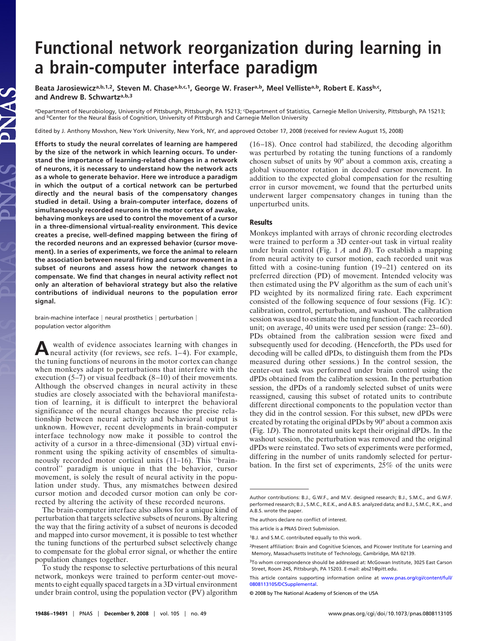## **Functional network reorganization during learning in a brain-computer interface paradigm**

Beata Jarosiewicz<sup>a,b,1,2</sup>, Steven M. Chase<sup>a,b,c,1</sup>, George W. Fraser<sup>a,b</sup>, Meel Velliste<sup>a,b</sup>, Robert E. Kass<sup>b,c</sup>, and Andrew B. Schwartz<sup>a,b,3</sup>

<sup>a</sup>Department of Neurobiology, University of Pittsburgh, Pittsburgh, PA 15213; <sup>c</sup>Department of Statistics, Carnegie Mellon University, Pittsburgh, PA 15213; and <sup>b</sup>Center for the Neural Basis of Cognition, University of Pittsburgh and Carnegie Mellon University

Edited by J. Anthony Movshon, New York University, New York, NY, and approved October 17, 2008 (received for review August 15, 2008)

**Efforts to study the neural correlates of learning are hampered by the size of the network in which learning occurs. To understand the importance of learning-related changes in a network of neurons, it is necessary to understand how the network acts as a whole to generate behavior. Here we introduce a paradigm in which the output of a cortical network can be perturbed directly and the neural basis of the compensatory changes studied in detail. Using a brain-computer interface, dozens of simultaneously recorded neurons in the motor cortex of awake, behaving monkeys are used to control the movement of a cursor in a three-dimensional virtual-reality environment. This device creates a precise, well-defined mapping between the firing of the recorded neurons and an expressed behavior (cursor movement). In a series of experiments, we force the animal to relearn the association between neural firing and cursor movement in a subset of neurons and assess how the network changes to compensate. We find that changes in neural activity reflect not only an alteration of behavioral strategy but also the relative contributions of individual neurons to the population error signal.**

brain-machine interface  $|$  neural prosthetics  $|$  perturbation  $|$ population vector algorithm

JAS

A wealth of evidence associates learning with changes in heural activity (for reviews, see refs. 1–4). For example, the tuning functions of neurons in the motor cortex can change when monkeys adapt to perturbations that interfere with the execution (5–7) or visual feedback (8–10) of their movements. Although the observed changes in neural activity in these studies are closely associated with the behavioral manifestation of learning, it is difficult to interpret the behavioral significance of the neural changes because the precise relationship between neural activity and behavioral output is unknown. However, recent developments in brain-computer interface technology now make it possible to control the activity of a cursor in a three-dimensional (3D) virtual environment using the spiking activity of ensembles of simultaneously recorded motor cortical units (11–16). This ''braincontrol'' paradigm is unique in that the behavior, cursor movement, is solely the result of neural activity in the population under study. Thus, any mismatches between desired cursor motion and decoded cursor motion can only be corrected by altering the activity of these recorded neurons.

The brain-computer interface also allows for a unique kind of perturbation that targets selective subsets of neurons. By altering the way that the firing activity of a subset of neurons is decoded and mapped into cursor movement, it is possible to test whether the tuning functions of the perturbed subset selectively change to compensate for the global error signal, or whether the entire population changes together.

To study the response to selective perturbations of this neural network, monkeys were trained to perform center-out movements to eight equally spaced targets in a 3D virtual environment under brain control, using the population vector (PV) algorithm (16–18). Once control had stabilized, the decoding algorithm was perturbed by rotating the tuning functions of a randomly chosen subset of units by 90° about a common axis, creating a global visuomotor rotation in decoded cursor movement. In addition to the expected global compensation for the resulting error in cursor movement, we found that the perturbed units underwent larger compensatory changes in tuning than the unperturbed units.

## **Results**

Monkeys implanted with arrays of chronic recording electrodes were trained to perform a 3D center-out task in virtual reality under brain control (Fig. 1 *A* and *B*). To establish a mapping from neural activity to cursor motion, each recorded unit was fitted with a cosine-tuning funtion (19–21) centered on its preferred direction (PD) of movement. Intended velocity was then estimated using the PV algorithm as the sum of each unit's PD weighted by its normalized firing rate. Each experiment consisted of the following sequence of four sessions (Fig. 1*C*): calibration, control, perturbation, and washout. The calibration session was used to estimate the tuning function of each recorded unit; on average, 40 units were used per session (range: 23–60). PDs obtained from the calibration session were fixed and subsequently used for decoding. (Henceforth, the PDs used for decoding will be called dPDs, to distinguish them from the PDs measured during other sessions.) In the control session, the center-out task was performed under brain control using the dPDs obtained from the calibration session. In the perturbation session, the dPDs of a randomly selected subset of units were reassigned, causing this subset of rotated units to contribute different directional components to the population vector than they did in the control session. For this subset, new dPDs were created by rotating the original dPDs by 90° about a common axis (Fig. 1*D*). The nonrotated units kept their original dPDs. In the washout session, the perturbation was removed and the original dPDs were reinstated. Two sets of experiments were performed, differing in the number of units randomly selected for perturbation. In the first set of experiments, 25% of the units were

This article contains supporting information online at [www.pnas.org/cgi/content/full/](http://www.pnas.org/cgi/content/full/0808113105/DCSupplemental) [0808113105/DCSupplemental.](http://www.pnas.org/cgi/content/full/0808113105/DCSupplemental)

Author contributions: B.J., G.W.F., and M.V. designed research; B.J., S.M.C., and G.W.F. performed research; B.J., S.M.C., R.E.K., and A.B.S. analyzed data; and B.J., S.M.C., R.K., and A.B.S. wrote the paper.

The authors declare no conflict of interest.

This article is a PNAS Direct Submission.

<sup>1</sup>B.J. and S.M.C. contributed equally to this work.

<sup>2</sup>Present affiliation: Brain and Cognitive Sciences, and Picower Institute for Learning and Memory, Massachusetts Institute of Technology, Cambridge, MA 02139.

<sup>3</sup>To whom correspondence should be addressed at: McGowan Institute, 3025 East Carson Street, Room 245, Pittsburgh, PA 15203. E-mail: abs21@pitt.edu.

<sup>© 2008</sup> by The National Academy of Sciences of the USA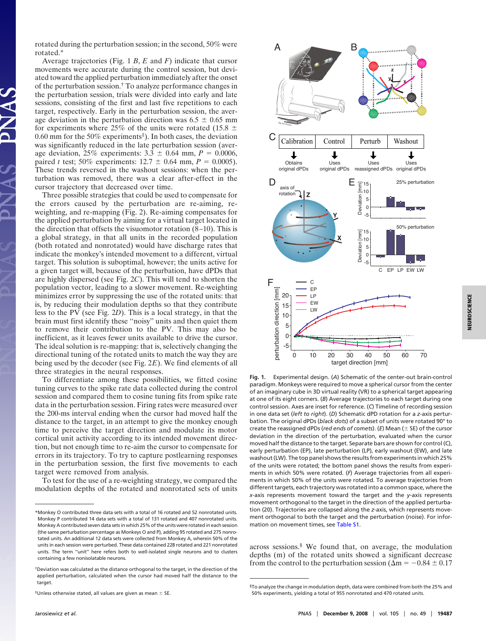**NEUROSCIENCE NEUROSCIENCE**

rotated during the perturbation session; in the second, 50% were rotated.\*

Average trajectories (Fig. 1 *B*, *E* and *F*) indicate that cursor movements were accurate during the control session, but deviated toward the applied perturbation immediately after the onset of the perturbation session.† To analyze performance changes in the perturbation session, trials were divided into early and late sessions, consisting of the first and last five repetitions to each target, respectively. Early in the perturbation session, the average deviation in the perturbation direction was  $6.5 \pm 0.65$  mm for experiments where 25% of the units were rotated (15.8  $\pm$ 0.60 mm for the 50% experiments<sup>‡</sup>). In both cases, the deviation was significantly reduced in the late perturbation session (average deviation,  $25\%$  experiments:  $3.3 \pm 0.64$  mm,  $P = 0.0006$ , paired *t* test; 50% experiments:  $12.7 \pm 0.64$  mm,  $P = 0.0005$ ). These trends reversed in the washout sessions: when the perturbation was removed, there was a clear after-effect in the cursor trajectory that decreased over time.

Three possible strategies that could be used to compensate for the errors caused by the perturbation are re-aiming, reweighting, and re-mapping (Fig. 2). Re-aiming compensates for the applied perturbation by aiming for a virtual target located in the direction that offsets the visuomotor rotation (8–10). This is a global strategy, in that all units in the recorded population (both rotated and nonrotated) would have discharge rates that indicate the monkey's intended movement to a different, virtual target. This solution is suboptimal, however; the units active for a given target will, because of the perturbation, have dPDs that are highly dispersed (see Fig. 2*C*). This will tend to shorten the population vector, leading to a slower movement. Re-weighting minimizes error by suppressing the use of the rotated units: that is, by reducing their modulation depths so that they contribute less to the PV (see Fig. 2*D*). This is a local strategy, in that the brain must first identify these ''noisy'' units and then quiet them to remove their contribution to the PV. This may also be inefficient, as it leaves fewer units available to drive the cursor. The ideal solution is re-mapping: that is, selectively changing the directional tuning of the rotated units to match the way they are being used by the decoder (see Fig. 2*E*). We find elements of all three strategies in the neural responses.

To differentiate among these possibilities, we fitted cosine tuning curves to the spike rate data collected during the control session and compared them to cosine tuning fits from spike rate data in the perturbation session. Firing rates were measured over the 200-ms interval ending when the cursor had moved half the distance to the target, in an attempt to give the monkey enough time to perceive the target direction and modulate its motor cortical unit activity according to its intended movement direction, but not enough time to re-aim the cursor to compensate for errors in its trajectory. To try to capture postlearning responses in the perturbation session, the first five movements to each target were removed from analysis.

To test for the use of a re-weighting strategy, we compared the modulation depths of the rotated and nonrotated sets of units



**Fig. 1.** Experimental design. (*A*) Schematic of the center-out brain-control paradigm. Monkeys were required to move a spherical cursor from the center of an imaginary cube in 3D virtual reality (VR) to a spherical target appearing at one of its eight corners. (*B*) Average trajectories to each target during one control session. Axes are inset for reference. (*C*) Timeline of recording session in one data set (*left to right*). (*D*) Schematic dPD rotation for a *z*-axis perturbation. The original dPDs (*black dots*) of a subset of units were rotated 90° to create the reassigned dPDs (*red ends of comets*). ( $E$ ) Mean ( $\pm$  SE) of the cursor deviation in the direction of the perturbation, evaluated when the cursor moved half the distance to the target. Separate bars are shown for control (C), early perturbation (EP), late perturbation (LP), early washout (EW), and late washout (LW). The top panel shows the results from experiments in which 25% of the units were rotated; the bottom panel shows the results from experiments in which 50% were rotated. (*F*) Average trajectories from all experiments in which 50% of the units were rotated. To average trajectories from different targets, each trajectory was rotated into a common space, where the *x*-axis represents movement toward the target and the *y*-axis represents movement orthogonal to the target in the direction of the applied perturbation (20). Trajectories are collapsed along the *z*-axis, which represents movement orthogonal to both the target and the perturbation (noise). For information on movement times, see [Table S1.](http://www.pnas.org/cgi/data/0808113105/DCSupplemental/Supplemental_PDF#nameddest=ST1)

across sessions.§ We found that, on average, the modulation depths (m) of the rotated units showed a significant decrease from the control to the perturbation session ( $\Delta m = -0.84 \pm 0.17$ )

<sup>\*</sup>Monkey O contributed three data sets with a total of 16 rotated and 52 nonrotated units. Monkey P contributed 14 data sets with a total of 131 rotated and 407 nonrotated units. Monkey A contributed seven data sets in which 25% of the units were rotated in each session (the same perturbation percentage as Monkeys O and P), adding 95 rotated and 275 nonrotated units. An additional 12 data sets were collected from Monkey A, wherein 50% of the units in each session were perturbed. These data contained 228 rotated and 221 nonrotated units. The term ''unit'' here refers both to well-isolated single neurons and to clusters containing a few nonisolatable neurons.

<sup>†</sup>Deviation was calculated as the distance orthogonal to the target, in the direction of the applied perturbation, calculated when the cursor had moved half the distance to the target.

 $*$ Unless otherwise stated, all values are given as mean  $\pm$  SE.

<sup>§</sup>To analyze the change in modulation depth, data were combined from both the 25% and 50% experiments, yielding a total of 955 nonrotated and 470 rotated units.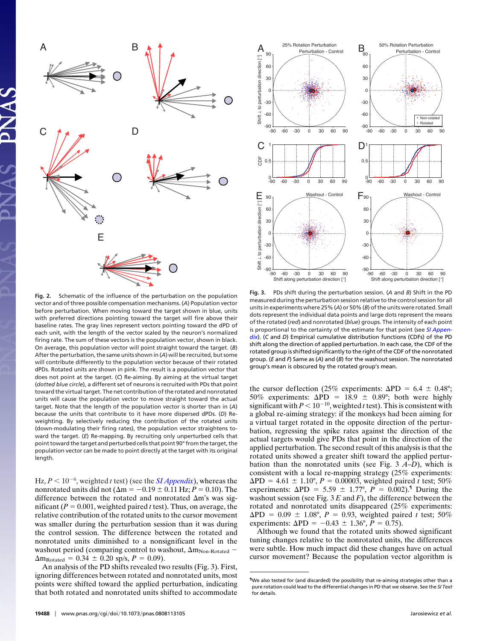

**Fig. 2.** Schematic of the influence of the perturbation on the population vector and of three possible compensation mechanisms. (*A*) Population vector before perturbation. When moving toward the target shown in blue, units with preferred directions pointing toward the target will fire above their baseline rates. The gray lines represent vectors pointing toward the dPD of each unit, with the length of the vector scaled by the neuron's normalized firing rate. The sum of these vectors is the population vector, shown in black. On average, this population vector will point straight toward the target. (*B*) After the perturbation, the same units shown in (*A*) will be recruited, but some will contribute differently to the population vector because of their rotated dPDs. Rotated units are shown in pink. The result is a population vector that does not point at the target. (*C*) Re-aiming. By aiming at the virtual target (*dotted blue circle*), a different set of neurons is recruited with PDs that point toward the virtual target. The net contribution of the rotated and nonrotated units will cause the population vector to move straight toward the actual target. Note that the length of the population vector is shorter than in (*A*) because the units that contribute to it have more dispersed dPDs. (*D*) Reweighting. By selectively reducing the contribution of the rotated units (down-modulating their firing rates), the population vector straightens toward the target. (*E*) Re-mapping. By recruiting only unperturbed cells that point toward the target and perturbed cells that point 90° from the target, the population vector can be made to point directly at the target with its original length.

Hz,  $P < 10^{-6}$ , weighted *t* test) (see the *[SI Appendix](http://www.pnas.org/cgi/data/0808113105/DCSupplemental/Appendix_PDF)*), whereas the nonrotated units did not ( $\Delta m = -0.19 \pm 0.11$  Hz;  $P = 0.10$ ). The difference between the rotated and nonrotated  $\Delta m$ 's was significant  $(P = 0.001$ , weighted paired *t* test). Thus, on average, the relative contribution of the rotated units to the cursor movement was smaller during the perturbation session than it was during the control session. The difference between the rotated and nonrotated units diminished to a nonsignificant level in the washout period (comparing control to washout,  $\Delta m_{\text{Non-Rotated}}$  - $\Delta$ m<sub>Rotated</sub> = 0.34  $\pm$  0.20 sp/s, *P* = 0.09).

An analysis of the PD shifts revealed two results (Fig. 3). First, ignoring differences between rotated and nonrotated units, most points were shifted toward the applied perturbation, indicating that both rotated and nonrotated units shifted to accommodate



**Fig. 3.** PDs shift during the perturbation session. (*A* and *B*) Shift in the PD measured during the perturbation session relative to the control session for all units in experiments where 25% (*A*) or 50% (*B*) of the units were rotated. Small dots represent the individual data points and large dots represent the means of the rotated (*red*) and nonrotated (*blue*) groups. The intensity of each point is proportional to the certainty of the estimate for that point (see *[SI Appen](http://www.pnas.org/cgi/data/0808113105/DCSupplemental/Appendix_PDF)[dix](http://www.pnas.org/cgi/data/0808113105/DCSupplemental/Appendix_PDF)*). (*C* and *D*) Empirical cumulative distribution functions (CDFs) of the PD shift along the direction of applied perturbation. In each case, the CDF of the rotated group is shifted significantly to the right of the CDF of the nonrotated group. (*E* and *F*) Same as (*A*) and (*B*) for the washout session. The nonrotated group's mean is obscured by the rotated group's mean.

the cursor deflection (25% experiments:  $\Delta \text{PD} = 6.4 \pm 0.48^{\circ}$ ; 50% experiments:  $\Delta PD = 18.9 \pm 0.89^{\circ}$ ; both were highly significant with  $P < 10^{-10}$ , weighted *t* test). This is consistent with a global re-aiming strategy: if the monkeys had been aiming for a virtual target rotated in the opposite direction of the perturbation, regressing the spike rates against the direction of the actual targets would give PDs that point in the direction of the applied perturbation. The second result of this analysis is that the rotated units showed a greater shift toward the applied perturbation than the nonrotated units (see Fig. 3 *A*–*D*), which is consistent with a local re-mapping strategy (25% experiments:  $\Delta$ PD = 4.61  $\pm$  1.10°, *P* = 0.00003, weighted paired *t* test; 50% experiments:  $\Delta PD = 5.59 \pm 1.77^{\circ}, P = 0.002$ .<sup>'</sup> During the washout session (see Fig. 3 *E* and *F*), the difference between the rotated and nonrotated units disappeared (25% experiments:  $\Delta$ PD = 0.09  $\pm$  1.08°, *P* = 0.93, weighted paired *t* test; 50% experiments:  $\Delta \text{PD} = -0.43 \pm 1.36^{\circ}, P = 0.75$ .

Although we found that the rotated units showed significant tuning changes relative to the nonrotated units, the differences were subtle. How much impact did these changes have on actual cursor movement? Because the population vector algorithm is

<sup>¶</sup>We also tested for (and discarded) the possibility that re-aiming strategies other than a pure rotation could lead to the differential changes in PD that we observe. See the *SI Text* for details.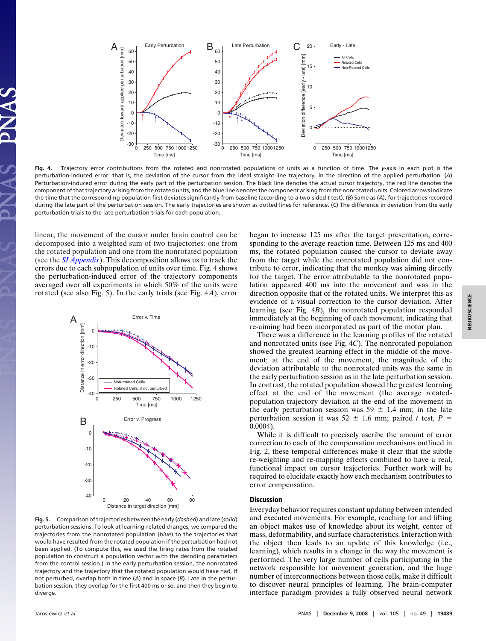

**Fig. 4.** Trajectory error contributions from the rotated and nonrotated populations of units as a function of time. The *y*-axis in each plot is the perturbation-induced error: that is, the deviation of the cursor from the ideal straight-line trajectory, in the direction of the applied perturbation. (*A*) Perturbation-induced error during the early part of the perturbation session. The black line denotes the actual cursor trajectory, the red line denotes the component of that trajectory arising from the rotated units, and the blue line denotes the component arising from the nonrotated units. Colored arrows indicate the time that the corresponding population first deviates significantly from baseline (according to a two-sided *t* test). (*B*) Same as (*A*), for trajectories recorded during the late part of the perturbation session. The early trajectories are shown as dotted lines for reference. (*C*) The difference in deviation from the early perturbation trials to the late perturbation trials for each population.

linear, the movement of the cursor under brain control can be decomposed into a weighted sum of two trajectories: one from the rotated population and one from the nonrotated population (see the *[SI Appendix](http://www.pnas.org/cgi/data/0808113105/DCSupplemental/Appendix_PDF)*). This decomposition allows us to track the errors due to each subpopulation of units over time. Fig. 4 shows the perturbation-induced error of the trajectory components averaged over all experiments in which 50% of the units were rotated (see also Fig. 5). In the early trials (see Fig. 4*A*), error



**Fig. 5.** Comparison of trajectories between the early (*dashed*) and late (*solid*) perturbation sessions. To look at learning-related changes, we compared the trajectories from the nonrotated population (*blue*) to the trajectories that would have resulted from the rotated population if the perturbation had not been applied. (To compute this, we used the firing rates from the rotated population to construct a population vector with the decoding parameters from the control session.) In the early perturbation session, the nonrotated trajectory and the trajectory that the rotated population would have had, if not perturbed, overlap both in time (*A*) and in space (*B*). Late in the perturbation session, they overlap for the first 400 ms or so, and then they begin to diverge.

began to increase 125 ms after the target presentation, corresponding to the average reaction time. Between 125 ms and 400 ms, the rotated population caused the cursor to deviate away from the target while the nonrotated population did not contribute to error, indicating that the monkey was aiming directly for the target. The error attributable to the nonrotated population appeared 400 ms into the movement and was in the direction opposite that of the rotated units. We interpret this as evidence of a visual correction to the cursor deviation. After learning (see Fig. 4*B*), the nonrotated population responded immediately at the beginning of each movement, indicating that re-aiming had been incorporated as part of the motor plan.

There was a difference in the learning profiles of the rotated and nonrotated units (see Fig. 4*C*). The nonrotated population showed the greatest learning effect in the middle of the movement; at the end of the movement, the magnitude of the deviation attributable to the nonrotated units was the same in the early perturbation session as in the late perturbation session. In contrast, the rotated population showed the greatest learning effect at the end of the movement (the average rotatedpopulation trajectory deviation at the end of the movement in the early perturbation session was  $59 \pm 1.4$  mm; in the late perturbation session it was  $52 \pm 1.6$  mm; paired *t* test,  $P =$ 0.0004).

While it is difficult to precisely ascribe the amount of error correction to each of the compensation mechanisms outlined in Fig. 2, these temporal differences make it clear that the subtle re-weighting and re-mapping effects combined to have a real, functional impact on cursor trajectories. Further work will be required to elucidate exactly how each mechanism contributes to error compensation.

## **Discussion**

Everyday behavior requires constant updating between intended and executed movements. For example, reaching for and lifting an object makes use of knowledge about its weight, center of mass, deformability, and surface characteristics. Interaction with the object then leads to an update of this knowledge (i.e., learning), which results in a change in the way the movement is performed. The very large number of cells participating in the network responsible for movement generation, and the huge number of interconnections between those cells, make it difficult to discover neural principles of learning. The brain-computer interface paradigm provides a fully observed neural network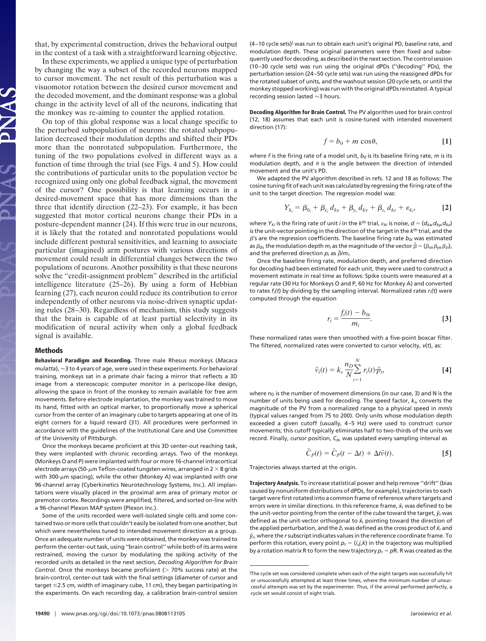that, by experimental construction, drives the behavioral output in the context of a task with a straightforward learning objective.

In these experiments, we applied a unique type of perturbation by changing the way a subset of the recorded neurons mapped to cursor movement. The net result of this perturbation was a visuomotor rotation between the desired cursor movement and the decoded movement, and the dominant response was a global change in the activity level of all of the neurons, indicating that the monkey was re-aiming to counter the applied rotation.

On top of this global response was a local change specific to the perturbed subpopulation of neurons: the rotated subpopulation decreased their modulation depths and shifted their PDs more than the nonrotated subpopulation. Furthermore, the tuning of the two populations evolved in different ways as a function of time through the trial (see Figs. 4 and 5). How could the contributions of particular units to the population vector be recognized using only one global feedback signal, the movement of the cursor? One possibility is that learning occurs in a desired-movement space that has more dimensions than the three that identify direction (22–23). For example, it has been suggested that motor cortical neurons change their PDs in a posture-dependent manner (24). If this were true in our neurons, it is likely that the rotated and nonrotated populations would include different postural sensitivities, and learning to associate particular (imagined) arm postures with various directions of movement could result in differential changes between the two populations of neurons. Another possibility is that these neurons solve the ''credit-assignment problem'' described in the artificial intelligence literature (25–26). By using a form of Hebbian learning (27), each neuron could reduce its contribution to error independently of other neurons via noise-driven synaptic updating rules (28–30). Regardless of mechanism, this study suggests that the brain is capable of at least partial selectivity in its modification of neural activity when only a global feedback signal is available.

## **Methods**

**Behavioral Paradigm and Recording.** Three male Rhesus monkeys (*Macaca*  $mulated$ ,  $\approx$ 3 to 4 years of age, were used in these experiments. For behavioral training, monkeys sat in a primate chair facing a mirror that reflects a 3D image from a stereoscopic computer monitor in a periscope-like design, allowing the space in front of the monkey to remain available for free arm movements. Before electrode implantation, the monkey was trained to move its hand, fitted with an optical marker, to proportionally move a spherical cursor from the center of an imaginary cube to targets appearing at one of its eight corners for a liquid reward (31). All procedures were performed in accordance with the guidelines of the Institutional Care and Use Committee of the University of Pittsburgh.

Once the monkeys became proficient at this 3D center-out reaching task, they were implanted with chronic recording arrays. Two of the monkeys (Monkeys O and P) were implanted with four or more 16-channel intracortical electrode arrays (50- $\mu$ m Teflon-coated tungsten wires, arranged in 2  $\times$  8 grids with 300- $\mu$ m spacing), while the other (Monkey A) was implanted with one 96-channel array (Cyberkinetics Neurotechnology Systems, Inc.). All implantations were visually placed in the proximal arm area of primary motor or premotor cortex. Recordings were amplified, filtered, and sorted on-line with a 96-channel Plexon MAP system (Plexon Inc.).

Some of the units recorded were well-isolated single cells and some contained two or more cells that couldn't easily be isolated from one another, but which were nevertheless tuned to intended movement direction as a group. Once an adequate number of units were obtained, the monkey was trained to perform the center-out task, using ''brain control'' while both of its arms were restrained, moving the cursor by modulating the spiking activity of the recorded units as detailed in the next section, *Decoding Algorithm for Brain Control*. Once the monkeys became proficient (> 70% success rate) at the brain-control, center-out task with the final settings (diameter of cursor and target  $\leq$ 2.5 cm, width of imaginary cube, 11 cm), they began participating in the experiments. On each recording day, a calibration brain-control session

(4-10 cycle sets) was run to obtain each unit's original PD, baseline rate, and modulation depth. These original parameters were then fixed and subsequently used for decoding, as described in the next section. The control session (10 –30 cycle sets) was run using the original dPDs (''decoding'' PDs), the perturbation session (24 –50 cycle sets) was run using the reassigned dPDs for the rotated subset of units, and the washout session (20 cycle sets, or until the monkey stopped working) was run with the original dPDs reinstated. A typical recording session lasted  $\approx$ 3 hours.

**Decoding Algorithm for Brain Control.** The PV algorithm used for brain control (12, 18) assumes that each unit is cosine-tuned with intended movement direction (17):

$$
f = b_0 + m \cos \theta, \tag{1}
$$

where *f* is the firing rate of a model unit,  $b_0$  is its baseline firing rate, *m* is its modulation depth, and  $\theta$  is the angle between the direction of intended movement and the unit's PD.

We adapted the PV algorithm described in refs. 12 and 18 as follows: The cosine tuning fit of each unit was calculated by regressing the firing rate of the unit to the target direction. The regression model was:

$$
Y_{k_i} = \beta_{0_i} + \beta_{x_i} d_{kx} + \beta_{y_i} d_{ky} + \beta_{z_i} d_{kz} + \varepsilon_{k_i},
$$
 [2]

where  $Y_{ki}$  is the firing rate of unit *i* in the  $k^{\text{th}}$  trial,  $\varepsilon_{ki}$  is noise,  $d = (d_{kx}d_{ky}d_{kz})$ is the unit-vector pointing in the direction of the target in the *k*th trial, and the  $\beta$ 's are the regression coefficients. The baseline firing rate  $b_{0i}$  was estimated as  $\beta_{0i}$ , the modulation depth  $m_i$  as the magnitude of the vector  $\vec{\beta} = (\beta_{x i}, \beta_{y i}, \beta_{z i})$ , and the preferred direction  $p_i$  as  $\beta/m_i$ .

Once the baseline firing rate, modulation depth, and preferred direction for decoding had been estimated for each unit, they were used to construct a movement estimate in real time as follows: Spike counts were measured at a regular rate (30 Hz for Monkeys O and P, 60 Hz for Monkey A) and converted to rates *fi(t*) by dividing by the sampling interval. Normalized rates *ri(t*) were computed through the equation

$$
r_i = \frac{f_i(t) - b_{0i}}{m_i}.
$$

These normalized rates were then smoothed with a five-point boxcar filter. The filtered, normalized rates were converted to cursor velocity, *v*(*t*), as:

$$
\vec{v}_i(t) = k_s \frac{n_D}{N} \sum_{i=1}^{N} r_i(t) \cdot \vec{p}_i, \tag{4}
$$

where  $n_D$  is the number of movement dimensions (in our case, 3) and N is the number of units being used for decoding. The speed factor, *ks*, converts the magnitude of the PV from a normalized range to a physical speed in *mm*/*s* (typical values ranged from 75 to 200). Only units whose modulation depth exceeded a given cutoff (usually, 4 –5 Hz) were used to construct cursor movements; this cutoff typically eliminates half to two-thirds of the units we record. Finally, cursor position, *C*p, was updated every sampling interval as

$$
\tilde{C}_P(t) = \tilde{C}_P(t - \Delta t) + \Delta t \tilde{v}(t).
$$
 [5]

Trajectories always started at the origin.

**Trajectory Analysis.** To increase statistical power and help remove ''drift'' (bias caused by nonuniform distributions of dPDs, for example), trajectories to each target were first rotated into a common frame of reference where targets and errors were in similar directions. In this reference frame, *xˆ*<sup>r</sup> was defined to be the unit-vector pointing from the center of the cube toward the target,  $\hat{y}_r$  was defined as the unit-vector orthogonal to *xˆ*<sup>r</sup> pointing toward the direction of the applied perturbation, and the *zˆ*<sup>r</sup> was defined as the cross product of *xˆ*<sup>r</sup> and *yˆ*r, where the *r*subscript indicates values in the reference coordinate frame. To perform this rotation, every point  $p_r = (i,j,k)$  in the trajectory was multiplied by a rotation matrix R to form the new trajectory  $p_r = pR$ . R was created as the

 $^\textsf{II}$ The cycle set was considered complete when each of the eight targets was successfully hit or unsuccessfully attempted at least three times, where the minimum number of unsuccessful attempts was set by the experimenter. Thus, if the animal performed perfectly, a cycle set would consist of eight trials.